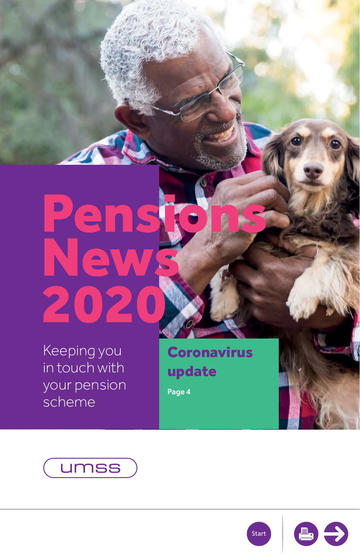## <span id="page-0-0"></span>News 2020 Pen<br>Nev

Keeping you in touch with your pension scheme

Coronavirus update

[Page 4](#page-2-0)





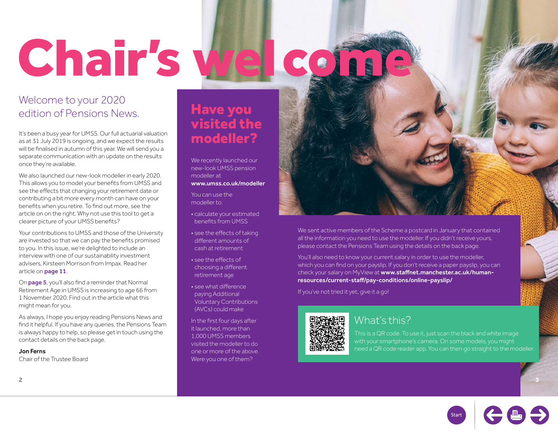# <span id="page-1-0"></span>Chair's We

## Welcome to your 2020 edition of Pensions News.

It's been a busy year for UMSS. Our full actuarial valuation as at 31 July 2019 is ongoing, and we expect the results will be finalised in autumn of this year. We will send you a separate communication with an update on the results once they're available.

We also launched our new-look modeller in early 2020. This allows you to model your benefits from UMSS and see the effects that changing your retirement date or contributing a bit more every month can have on your benefits when you retire. To find out more, see the article on on the right. Why not use this tool to get a clearer picture of your UMSS benefits?

Your contributions to UMSS and those of the University are invested so that we can pay the benefits promised to you. In this issue, we're delighted to include an interview with one of our sustainability investment advisers, Kirsteen Morrison from Impax. Read her article on [page 11](#page-5-0).

On [page 5](#page-2-0), you'll also find a reminder that Normal Retirement Age in UMSS is increasing to age 66 from 1 November 2020. Find out in the article what this might mean for you.

As always, I hope you enjoy reading Pensions News and find it helpful. If you have any queries, the Pensions Team is always happy to help, so please get in touch using the contact details on the back page.

#### Jon Ferns

Chair of the Trustee Board

## Have you visited the modeller?

We recently launched our new-look UMSS pension modeller at [www.umss.co.uk/modeller](http://www.umss.co.uk/modeller)

You can use the modeller to:

- calculate your estimated benefits from UMSS
- see the effects of taking different amounts of cash at retirement
- see the effects of choosing a different retirement age
- see what difference paying Additional Voluntary Contributions (AVCs) could make

In the first four days after it launched, more than 1,000 UMSS members visited the modeller to do one or more of the above. Were you one of them?

We sent active members of the Scheme a postcard in January that contained all the information you need to use the modeller. If you didn't receive yours, please contact the Pensions Team using the details on the back page.

You'll also need to know your current salary in order to use the modeller, which you can find on your payslip. If you don't receive a paper payslip, you can check your salary on MyView at [www.staffnet.manchester.ac.uk/human](http://www.staffnet.manchester.ac.uk/human-resources/current-staff/pay-conditions/online-payslip/)[resources/current-staff/pay-conditions/online-payslip/](http://www.staffnet.manchester.ac.uk/human-resources/current-staff/pay-conditions/online-payslip/)

If you've not tried it yet, give it a go!



### What's this?

This is a QR code. To use it, just scan the black and white image with your smartphone's camera. On some models, you might po need a QR code reader app. You can then go straight to the modeller.

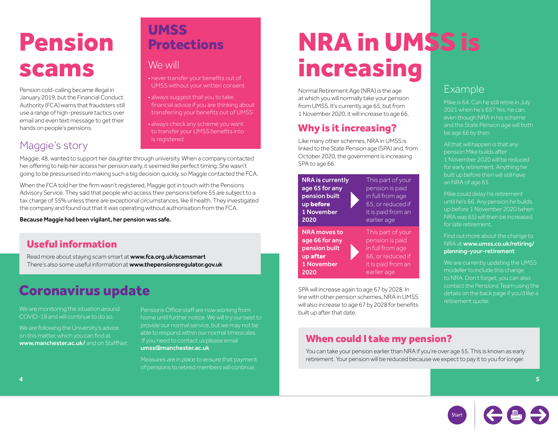## <span id="page-2-0"></span>Pension scams

Pension cold-calling became illegal in January 2019, but the Financial Conduct Authority (FCA) warns that fraudsters still use a range of high-pressure tactics over email and even text message to get their hands on people's pensions.

## Maggie's story

## **UMSS Protections**

### We will

• never transfer your benefits out of UMSS without your written consent

- always suggest that you to take financial advice if you are thinking about transferring your benefits out of UMSS
- always check any scheme you want to transfer your UMSS benefits into is registered

Maggie, 48, wanted to support her daughter through university. When a company contacted her offering to help her access her pension early, it seemed like perfect timing. She wasn't going to be pressurised into making such a big decision quickly, so Maggie contacted the FCA.

When the FCA told her the firm wasn't registered, Maggie got in touch with the Pensions Advisory Service. They said that people who access their pensions before 55 are subject to a tax charge of 55% unless there are exceptional circumstances, like ill health. They investigated the company and found out that it was operating without authorisation from the FCA.

Because Maggie had been vigilant, her pension was safe.

## Useful information

Read more about staying scam smart at [www.fca.org.uk/scamsmart](http://www.fca.org.uk/scamsmart) There's also some useful information at [www.thepensionsregulator.gov.uk](http://www.thepensionsregulator.gov.uk)

## Coronavirus update

We are monitoring the situation around COVID-19 and will continue to do so.

We are following the University's advice on this matter, which you can find at [www.manchester.ac.uk/](http://www.manchester.ac.uk/) and on StaffNet.

Pensions Office staff are now working from home until further notice. We will try our best to provide our normal service, but we may not be able to respond within our normal timescales. If you need to contact us please email [umss@manchester.ac.uk](mailto:umss%40manchester.ac.uk?subject=)

Measures are in place to ensure that payment of pensions to retired members will continue.

## NRA in UMSS is increasing

Example

be age 66 by then.

an NRA of age 65.

for late retirement.

retirement quote.

Mike is 64. Can he still retire in July 2021 when he's 65? Yes, he can, even though NRA in his scheme and the State Pension age will both

All that will happen is that any pension Mike builds after

1 November 2020 will be reduced for early retirement. Anything he built up before then will still have

Mike could delay his retirement until he's 66. Any pension he builds up before 1 November 2020 (when NRA was 65) will then be increased

Find out more about the change to NRA at [www.umss.co.uk/retiring/](http://www.umss.co.uk/retiring/planning-your-retirement) [planning-your-retirement](http://www.umss.co.uk/retiring/planning-your-retirement)

We are currently updating the UMSS modeller to include this change to NRA. Don't forget, you can also contact the Pensions Team using the details on the back page if you'd like a

Normal Retirement Age (NRA) is the age at which you will normally take your pension from UMSS. It's currently age 65, but from 1 November 2020, it will increase to age 66.

## Why is it increasing?

Like many other schemes, NRA in UMSS is linked to the State Pension age (SPA) and, from October 2020, the government is increasing SPA to age 66.

NRA is currently age 65 for any pension built up before 1 November 2020

NRA moves to age 66 for any pension built up after 1 November 2020

This part of your pension is paid in full from age 65, or reduced if it is paid from an earlier age

This part of your pension is paid in full from age 66, or reduced if it is paid from an earlier age

SPA will increase again to age 67 by 2028. In line with other pension schemes, NRA in UMSS will also increase to age 67 by 2028 for benefits built up after that date.

### When could I take my pension?

You can take your pension earlier than NRA if you're over age 55. This is known as early retirement. Your pension will be reduced because we expect to pay it to you for longer.



**4 5**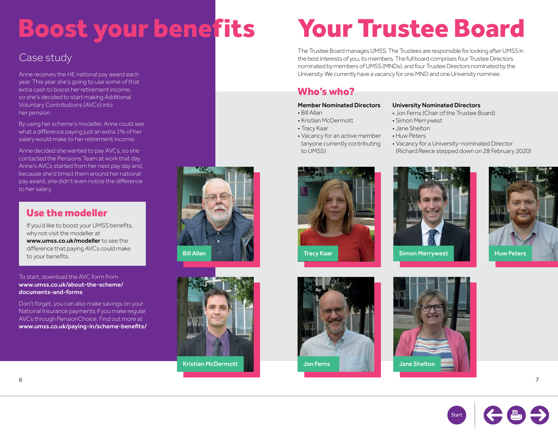## Boost your benefits Your Trustee Board

## Case study

Anne receives the HE national pay award each year. This year she's going to use some of that extra cash to boost her retirement income, so she's decided to start making Additional Voluntary Contributions (AVCs) into her pension.

By using her scheme's modeller, Anne could see what a difference paying just an extra 1% of her salary would make to her retirement income.

Anne decided she wanted to pay AVCs, so she contacted the Pensions Team at work that day. Anne's AVCs started from her next pay day and, because she'd timed them around her national pay award, she didn't even notice the difference to her salary.

### Use the modeller

If you'd like to boost your UMSS benefits, why not visit the modeller at [www.umss.co.uk/modeller](http://www.umss.co.uk/modeller) to see the difference that paying AVCs could make<br>to your benefits. to your benefits. The Matter of the Control of the Bill Allan Tracy Kaar Simon Merrywest Huw Peters in the Simon Merrywest Huw Peters and Simon Merrywest Huw Peters in the Simon Merrywest Huw Peters and Simon Merrywest Huw

#### To start, download the AVC form from [www.umss.co.uk/about-the-scheme/](http://www.umss.co.uk/about-the-scheme/documents-and-forms) [documents-and-forms](http://www.umss.co.uk/about-the-scheme/documents-and-forms)

Don't forget, you can also make savings on your National Insurance payments if you make regular AVCs through PensionChoice. Find out more at [www.umss.co.uk/paying-in/scheme-benefits/](http://www.umss.co.uk/paying-in/scheme-benefits/)





The Trustee Board manages UMSS. The Trustees are responsible for looking after UMSS in the best interests of you, its members. The full board comprises four Trustee Directors nominated by members of UMSS (MNDs), and four Trustee Directors nominated by the University. We currently have a vacancy for one MND and one University nominee.

### Who's who?

#### Member Nominated Directors

- Bill Allan
- Kristian McDermott
- Tracy Kaar
- Vacancy for an active member (anyone currently contributing to UMSS)

#### University Nominated Directors

- Jon Ferns (Chair of the Trustee Board)
- Simon Merrywest
- Jane Shelton
- Huw Peters
	- Vacancy for a University-nominated Director (Richard Reece stepped down on 28 February 2020)











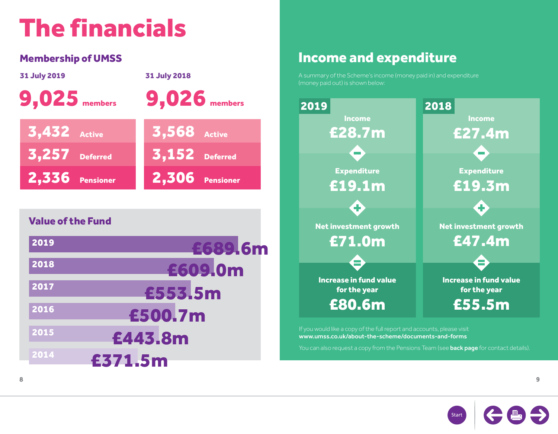## The financials

| <b>31 July 2019</b>      | <b>31 July 2018</b>   |  |  |  |
|--------------------------|-----------------------|--|--|--|
| <b>9,025</b> members     | <b>9,026</b> members  |  |  |  |
| <b>3,432</b> Active      | <b>3,568</b> Active   |  |  |  |
| <b>3,257</b> Deferred    | <b>3,152</b> Deferred |  |  |  |
| 2,336 Pensioner          | $2,306$ Pensioner     |  |  |  |
|                          |                       |  |  |  |
| <b>Value of the Fund</b> |                       |  |  |  |

| 2019            | £689.6m |  |  |  |
|-----------------|---------|--|--|--|
| 2018            | £609.0m |  |  |  |
| 2017            | £553,5m |  |  |  |
| 2016            | £500.7m |  |  |  |
| 2015            | £443.8m |  |  |  |
| 2014<br>£371.5m |         |  |  |  |

## Membership of UMSS **Income and expenditure**

A summary of the Scheme's income (money paid in) and expenditure



If you would like a copy of the full report and accounts, please visit [www.umss.co.uk/about-the-scheme/documents-and-forms](http://www.umss.co.uk/about-the-scheme/documents-and-forms)

You can also request a copy from the Pensions Team (see **[back page](#page-8-0)** for contact details).

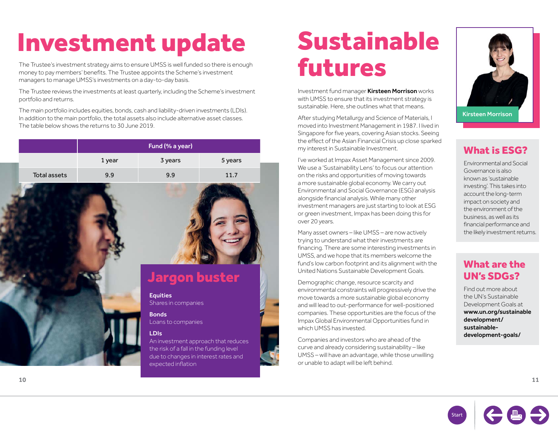## <span id="page-5-0"></span>Investment update

The Trustee's investment strategy aims to ensure UMSS is well funded so there is enough money to pay members' benefits. The Trustee appoints the Scheme's investment managers to manage UMSS's investments on a day-to-day basis.

The Trustee reviews the investments at least quarterly, including the Scheme's investment portfolio and returns.

The main portfolio includes equities, bonds, cash and liability-driven investments (LDIs). In addition to the main portfolio, the total assets also include alternative asset classes. The table below shows the returns to 30 June 2019.

|                     | Fund (% a year) |                                                                                                                                                            |         |
|---------------------|-----------------|------------------------------------------------------------------------------------------------------------------------------------------------------------|---------|
|                     | 1 year          | 3 years                                                                                                                                                    | 5 years |
| <b>Total assets</b> | 9.9             | 9.9                                                                                                                                                        | 11.7    |
|                     |                 | <b>Jargon buster</b><br><b>Equities</b><br>Shares in companies<br><b>Bonds</b><br>Loans to companies                                                       |         |
|                     |                 | <b>LDIs</b><br>An investment approach that reduce<br>the risk of a fall in the funding level<br>due to changes in interest rates and<br>expected inflation |         |

## Sustainable futures

Investment fund manager Kirsteen Morrison works with UMSS to ensure that its investment strategy is sustainable. Here, she outlines what that means.

After studying Metallurgy and Science of Materials, I moved into Investment Management in 1987. I lived in Singapore for five years, covering Asian stocks. Seeing the effect of the Asian Financial Crisis up close sparked my interest in Sustainable Investment.

I've worked at Impax Asset Management since 2009. We use a 'Sustainability Lens' to focus our attention on the risks and opportunities of moving towards a more sustainable global economy. We carry out Environmental and Social Governance (ESG) analysis alongside financial analysis. While many other investment managers are just starting to look at ESG or green investment, Impax has been doing this for over 20 years.

Many asset owners – like UMSS – are now actively trying to understand what their investments are financing. There are some interesting investments in UMSS, and we hope that its members welcome the fund's low carbon footprint and its alignment with the United Nations Sustainable Development Goals.

Demographic change, resource scarcity and environmental constraints will progressively drive the move towards a more sustainable global economy and will lead to out-performance for well-positioned companies. These opportunities are the focus of the Impax Global Environmental Opportunities fund in which UMSS has invested.

Companies and investors who are ahead of the curve and already considering sustainability – like UMSS – will have an advantage, while those unwilling or unable to adapt will be left behind.

educes



## What is ESG?

Environmental and Social Governance is also known as 'sustainable investing'. This takes into account the long-term impact on society and the environment of the business, as well as its financial performance and the likely investment returns.

### What are the UN's SDGs?

Find out more about the UN's Sustainable Development Goals at [www.un.org/sustainable](http://www.un.org/sustainabledevelopment/sustainable-development-goals/) [development/](http://www.un.org/sustainabledevelopment/sustainable-development-goals/) [sustainable](http://www.un.org/sustainabledevelopment/sustainable-development-goals/)[development-goals/](http://www.un.org/sustainabledevelopment/sustainable-development-goals/)

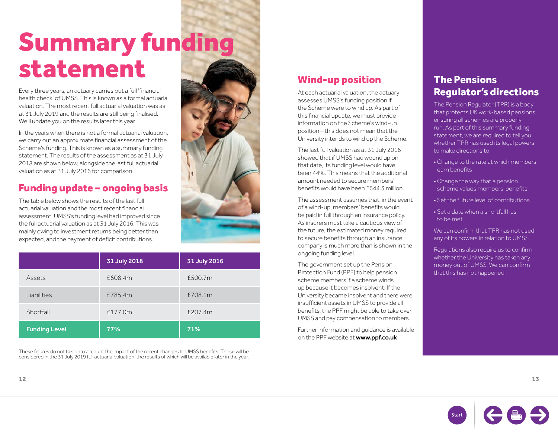## Summary funding statement

Every three years, an actuary carries out a full 'financial health check' of UMSS. This is known as a formal actuarial valuation. The most recent full actuarial valuation was as at 31 July 2019 and the results are still being finalised. We'll update you on the results later this year.

In the years when there is not a formal actuarial valuation, we carry out an approximate financial assessment of the Scheme's funding. This is known as a summary funding statement. The results of the assessment as at 31 July 2018 are shown below, alongside the last full actuarial valuation as at 31 July 2016 for comparison.

### Funding update – ongoing basis

The table below shows the results of the last full actuarial valuation and the most recent financial assessment. UMSS's funding level had improved since the full actuarial valuation as at 31 July 2016. This was mainly owing to investment returns being better than expected, and the payment of deficit contributions.

|                      | 31 July 2018 | 31 July 2016 |
|----------------------|--------------|--------------|
| Assets               | £608.4m      | £500.7m      |
| Liabilities          | £785.4m      | £708.1m      |
| Shortfall            | £177.0m      | £207.4m      |
| <b>Funding Level</b> | 77%          | 71%          |

These figures do not take into account the impact of the recent changes to UMSS benefits. These will be considered in the 31 July 2019 full actuarial valuation, the results of which will be available later in the year.

## Wind-up position

At each actuarial valuation, the actuary assesses UMSS's funding position if the Scheme were to wind up. As part of this financial update, we must provide information on the Scheme's wind-up position – this does not mean that the University intends to wind up the Scheme.

The last full valuation as at 31 July 2016 showed that if UMSS had wound up on that date, its funding level would have been 44%. This means that the additional amount needed to secure members' benefits would have been £644.3 million.

The assessment assumes that, in the event of a wind-up, members' benefits would be paid in full through an insurance policy. As insurers must take a cautious view of the future, the estimated money required to secure benefits through an insurance company is much more than is shown in the ongoing funding level.

The government set up the Pension Protection Fund (PPF) to help pension scheme members if a scheme winds up because it becomes insolvent. If the University became insolvent and there were insufficient assets in UMSS to provide all benefits, the PPF might be able to take over UMSS and pay compensation to members.

Further information and guidance is available on the PPF website at [www.ppf.co.uk](http://www.ppf.co.uk)

### The Pensions Regulator's directions

The Pension Regulator (TPR) is a body that protects UK work-based pensions, ensuring all schemes are properly run. As part of this summary funding statement, we are required to tell you whether TPR has used its legal powers to make directions to:

- Change to the rate at which members earn benefits
- Change the way that a pension scheme values members' benefits
- Set the future level of contributions
- Set a date when a shortfall has to be met

We can confirm that TPR has not used any of its powers in relation to UMSS.

Regulations also require us to confirm whether the University has taken any money out of UMSS. We can confirm that this has not happened.

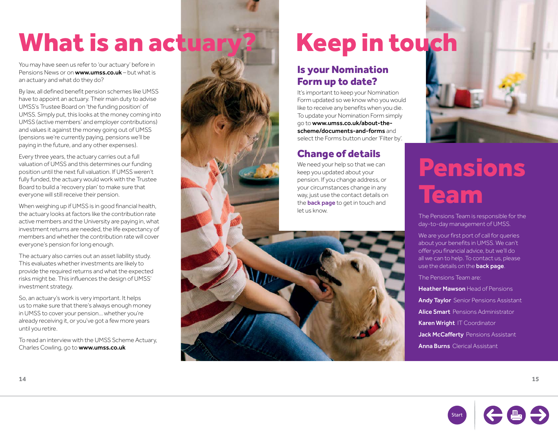## What is an actuary? Keep in touch

You may have seen us refer to 'our actuary' before in Pensions News or on **[www.umss.co.uk](http://www.umss.co.uk)** – but what is an actuary and what do they do?

By law, all defined benefit pension schemes like UMSS have to appoint an actuary. Their main duty to advise UMSS's Trustee Board on 'the funding position' of UMSS. Simply put, this looks at the money coming into UMSS (active members' and employer contributions) and values it against the money going out of UMSS (pensions we're currently paying, pensions we'll be paying in the future, and any other expenses).

Every three years, the actuary carries out a full valuation of UMSS and this determines our funding position until the next full valuation. If UMSS weren't fully funded, the actuary would work with the Trustee Board to build a 'recovery plan' to make sure that everyone will still receive their pension.

When weighing up if UMSS is in good financial health, the actuary looks at factors like the contribution rate active members and the University are paying in, what investment returns are needed, the life expectancy of members and whether the contribution rate will cover everyone's pension for long enough.

The actuary also carries out an asset liability study. This evaluates whether investments are likely to provide the required returns and what the expected risks might be. This influences the design of UMSS' investment strategy.

So, an actuary's work is very important. It helps us to make sure that there's always enough money in UMSS to cover your pension… whether you're already receiving it, or you've got a few more years until you retire.

To read an interview with the UMSS Scheme Actuary, Charles Cowling, go to [www.umss.co.uk](http://www.umss.co.uk)

### Is your Nomination Form up to date?

It's important to keep your Nomination Form updated so we know who you would like to receive any benefits when you die. To update your Nomination Form simply go to [www.umss.co.uk/about-the](http://www.umss.co.uk/about-the-scheme/documents-and-forms)[scheme/documents-and-forms](http://www.umss.co.uk/about-the-scheme/documents-and-forms) and select the Forms button under 'Filter by'.

## Change of details

We need your help so that we can keep you updated about your pension. If you change address, or your circumstances change in any way, just use the contact details on the **[back page](#page-8-0)** to get in touch and let us know.



## Pensions Team

The Pensions Team is responsible for the day-to-day management of UMSS.

We are your first port of call for queries about your benefits in UMSS. We can't offer you financial advice, but we'll do all we can to help. To contact us, please use the details on the **[back page](#page-8-0)** 

The Pensions Team are:

**Heather Mawson Head of Pensions** Andy Taylor Senior Pensions Assistant Alice Smart Pensions Administrator Karen Wright IT Coordinator Jack McCafferty Pensions Assistant Anna Burns Clerical Assistant



**14 15**